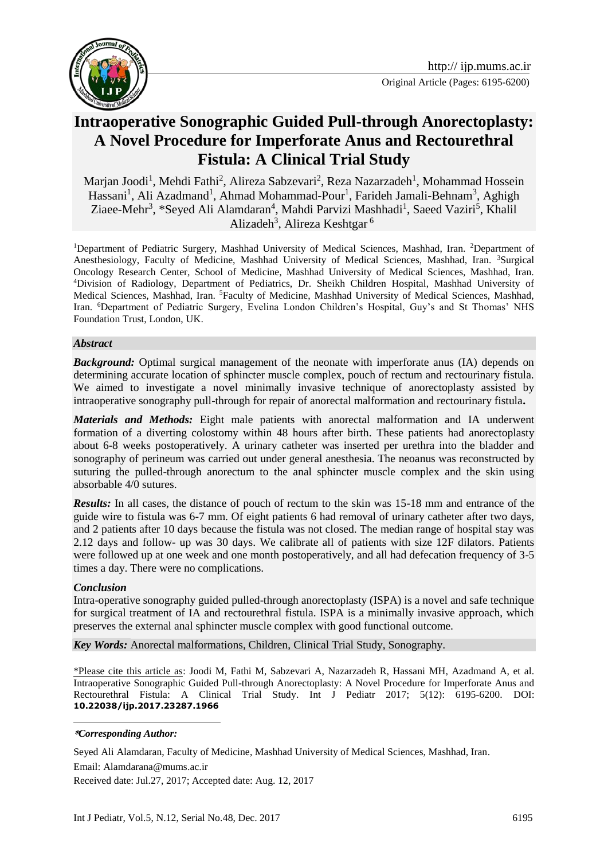



# **Intraoperative Sonographic Guided Pull-through Anorectoplasty: A Novel Procedure for Imperforate Anus and Rectourethral Fistula: A Clinical Trial Study**

Marjan Joodi<sup>1</sup>, Mehdi Fathi<sup>2</sup>, Alireza Sabzevari<sup>2</sup>, Reza Nazarzadeh<sup>1</sup>, Mohammad Hossein Hassani<sup>1</sup>, Ali Azadmand<sup>1</sup>, Ahmad Mohammad-Pour<sup>1</sup>, Farideh Jamali-Behnam<sup>3</sup>, Aghigh Ziaee-Mehr<sup>3</sup>, \*Seyed Ali Alamdaran<sup>4</sup>, Mahdi Parvizi Mashhadi<sup>1</sup>, Saeed Vaziri<sup>5</sup>, Khalil Alizadeh<sup>3</sup>, Alireza Keshtgar<sup>6</sup>

<sup>1</sup>Department of Pediatric Surgery, Mashhad University of Medical Sciences, Mashhad, Iran. <sup>2</sup>Department of Anesthesiology, Faculty of Medicine, Mashhad University of Medical Sciences, Mashhad, Iran. <sup>3</sup>Surgical Oncology Research Center, School of Medicine, Mashhad University of Medical Sciences, Mashhad, Iran. <sup>4</sup>Division of Radiology, Department of Pediatrics, Dr. Sheikh Children Hospital, Mashhad University of Medical Sciences, Mashhad, Iran. <sup>5</sup>Faculty of Medicine, Mashhad University of Medical Sciences, Mashhad, Iran. <sup>6</sup>Department of Pediatric Surgery, Evelina London Children's Hospital, Guy's and St Thomas' NHS Foundation Trust, London, UK.

#### *Abstract*

**Background:** Optimal surgical management of the neonate with imperforate anus (IA) depends on determining accurate location of sphincter muscle complex, pouch of rectum and rectourinary fistula. We aimed to investigate a novel minimally invasive technique of anorectoplasty assisted by intraoperative sonography pull-through for repair of anorectal malformation and rectourinary fistula**.**

*Materials and Methods:* Eight male patients with anorectal malformation and IA underwent formation of a diverting colostomy within 48 hours after birth. These patients had anorectoplasty about 6-8 weeks postoperatively. A urinary catheter was inserted per urethra into the bladder and sonography of perineum was carried out under general anesthesia. The neoanus was reconstructed by suturing the pulled-through anorectum to the anal sphincter muscle complex and the skin using absorbable 4/0 sutures.

*Results:* In all cases, the distance of pouch of rectum to the skin was 15-18 mm and entrance of the guide wire to fistula was 6-7 mm. Of eight patients 6 had removal of urinary catheter after two days, and 2 patients after 10 days because the fistula was not closed. The median range of hospital stay was 2.12 days and follow- up was 30 days. We calibrate all of patients with size 12F dilators. Patients were followed up at one week and one month postoperatively, and all had defecation frequency of 3-5 times a day. There were no complications.

#### *Conclusion*

<u>.</u>

Intra-operative sonography guided pulled-through anorectoplasty (ISPA) is a novel and safe technique for surgical treatment of IA and rectourethral fistula. ISPA is a minimally invasive approach, which preserves the external anal sphincter muscle complex with good functional outcome.

*Key Words:* Anorectal malformations, Children, Clinical Trial Study, Sonography.

\*Please cite this article as: Joodi M, Fathi M, Sabzevari A, Nazarzadeh R, Hassani MH, Azadmand A, et al. Intraoperative Sonographic Guided Pull-through Anorectoplasty: A Novel Procedure for Imperforate Anus and Rectourethral Fistula: A Clinical Trial Study. Int J Pediatr 2017; 5(12): 6195-6200. DOI: **10.22038/ijp.2017.23287.1966**

Seyed Ali Alamdaran, Faculty of Medicine, Mashhad University of Medical Sciences, Mashhad, Iran.

Email: Alamdarana@mums.ac.ir

Received date: Jul.27, 2017; Accepted date: Aug. 12, 2017

**<sup>\*</sup>***Corresponding Author:*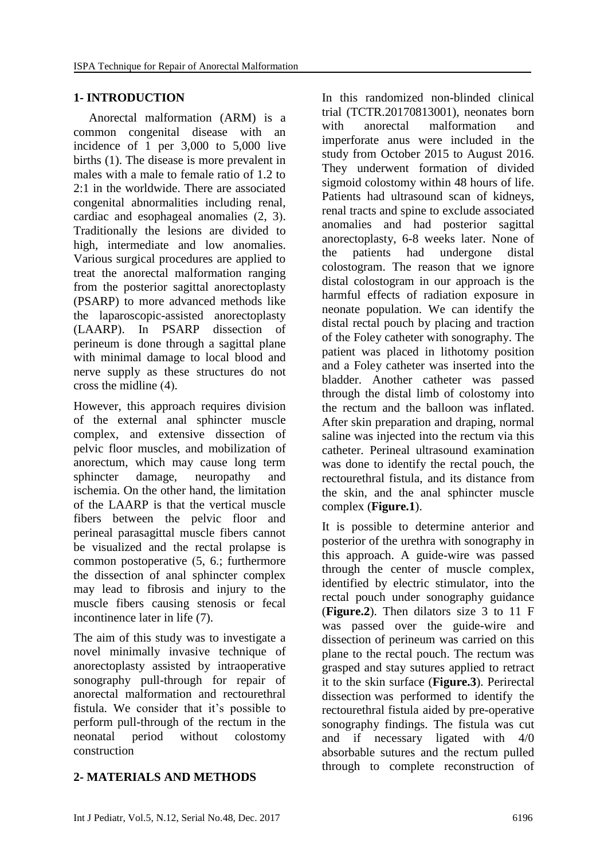## **1- INTRODUCTION**

 Anorectal malformation (ARM) is a common congenital disease with an incidence of 1 per 3,000 to 5,000 live births (1). The disease is more prevalent in males with a male to female ratio of 1.2 to 2:1 in the worldwide. There are associated congenital abnormalities including renal, cardiac and esophageal anomalies  $(2, 3)$ . Traditionally the lesions are divided to high, intermediate and low anomalies. Various surgical procedures are applied to treat the anorectal malformation ranging from the posterior sagittal anorectoplasty (PSARP) to more advanced methods like the laparoscopic-assisted anorectoplasty (LAARP). In PSARP dissection of perineum is done through a sagittal plane with minimal damage to local blood and nerve supply as these structures do not cross the midline  $(4)$ .

However, this approach requires division of the external anal sphincter muscle complex, and extensive dissection of pelvic floor muscles, and mobilization of anorectum, which may cause long term sphincter damage, neuropathy and ischemia. On the other hand, the limitation of the LAARP is that the vertical muscle fibers between the pelvic floor and perineal parasagittal muscle fibers cannot be visualized and the rectal prolapse is common postoperative  $(5, 6)$ ; furthermore the dissection of anal sphincter complex may lead to fibrosis and injury to the muscle fibers causing stenosis or fecal incontinence later in life (7).

The aim of this study was to investigate a novel minimally invasive technique of anorectoplasty assisted by intraoperative sonography pull-through for repair of anorectal malformation and rectourethral fistula. We consider that it's possible to perform pull-through of the rectum in the neonatal period without colostomy construction

### In this randomized non-blinded clinical trial (TCTR.20170813001), neonates born with anorectal malformation and imperforate anus were included in the study from October 2015 to August 2016. They underwent formation of divided sigmoid colostomy within 48 hours of life. Patients had ultrasound scan of kidneys, renal tracts and spine to exclude associated anomalies and had posterior sagittal anorectoplasty, 6-8 weeks later. None of the patients had undergone distal colostogram. The reason that we ignore distal colostogram in our approach is the harmful effects of radiation exposure in neonate population. We can identify the distal rectal pouch by placing and traction of the Foley catheter with sonography. The patient was placed in lithotomy position and a Foley catheter was inserted into the bladder. Another catheter was passed through the distal limb of colostomy into the rectum and the balloon was inflated. After skin preparation and draping, normal saline was injected into the rectum via this catheter. Perineal ultrasound examination was done to identify the rectal pouch, the rectourethral fistula, and its distance from the skin, and the anal sphincter muscle

It is possible to determine anterior and posterior of the urethra with sonography in this approach. A guide-wire was passed through the center of muscle complex, identified by electric stimulator, into the rectal pouch under sonography guidance (**Figure.2**). Then dilators size 3 to 11 F was passed over the guide-wire and dissection of perineum was carried on this plane to the rectal pouch. The rectum was grasped and stay sutures applied to retract it to the skin surface (**Figure.3**). Perirectal dissection was performed to identify the rectourethral fistula aided by pre-operative sonography findings. The fistula was cut and if necessary ligated with 4/0 absorbable sutures and the rectum pulled through to complete reconstruction of

complex (**Figure.1**).

## **2- MATERIALS AND METHODS**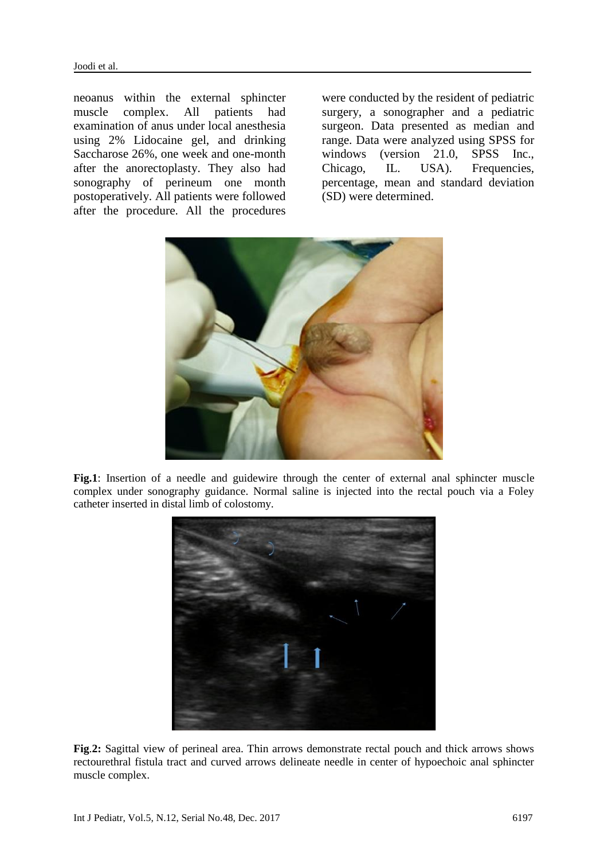neoanus within the external sphincter muscle complex. All patients had examination of anus under local anesthesia using 2% Lidocaine gel, and drinking Saccharose 26%, one week and one-month after the anorectoplasty. They also had sonography of perineum one month postoperatively. All patients were followed after the procedure. All the procedures

were conducted by the resident of pediatric surgery, a sonographer and a pediatric surgeon. Data presented as median and range. Data were analyzed using SPSS for windows (version 21.0, SPSS Inc., Chicago, IL. USA). Frequencies, percentage, mean and standard deviation (SD) were determined.



Fig.1: Insertion of a needle and guidewire through the center of external anal sphincter muscle complex under sonography guidance. Normal saline is injected into the rectal pouch via a Foley catheter inserted in distal limb of colostomy.



**Fig**.**2:** Sagittal view of perineal area. Thin arrows demonstrate rectal pouch and thick arrows shows rectourethral fistula tract and curved arrows delineate needle in center of hypoechoic anal sphincter muscle complex.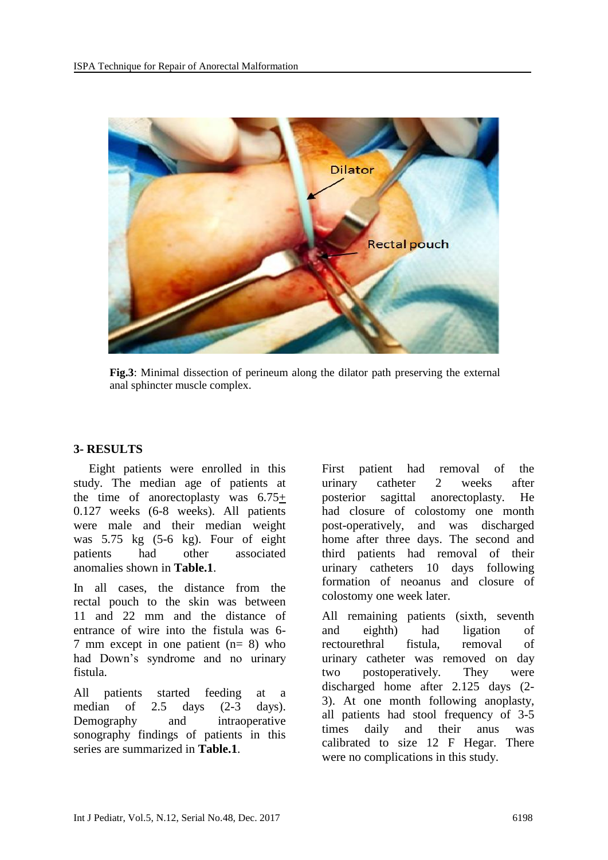

**Fig.3**: Minimal dissection of perineum along the dilator path preserving the external anal sphincter muscle complex.

#### **3- RESULTS**

 Eight patients were enrolled in this study. The median age of patients at the time of anorectoplasty was 6.75+ 0.127 weeks (6-8 weeks). All patients were male and their median weight was 5.75 kg (5-6 kg). Four of eight patients had other associated anomalies shown in **Table.1**.

In all cases, the distance from the rectal pouch to the skin was between 11 and 22 mm and the distance of entrance of wire into the fistula was 6- 7 mm except in one patient (n= 8) who had Down's syndrome and no urinary fistula.

All patients started feeding at a median of 2.5 days (2-3 days). Demography and intraoperative sonography findings of patients in this series are summarized in **Table.1**.

First patient had removal of the urinary catheter 2 weeks after posterior sagittal anorectoplasty. He had closure of colostomy one month post-operatively, and was discharged home after three days. The second and third patients had removal of their urinary catheters 10 days following formation of neoanus and closure of colostomy one week later.

All remaining patients (sixth, seventh and eighth) had ligation of rectourethral fistula, removal of urinary catheter was removed on day two postoperatively. They were discharged home after 2.125 days (2- 3). At one month following anoplasty, all patients had stool frequency of 3-5 times daily and their anus was calibrated to size 12 F Hegar. There were no complications in this study.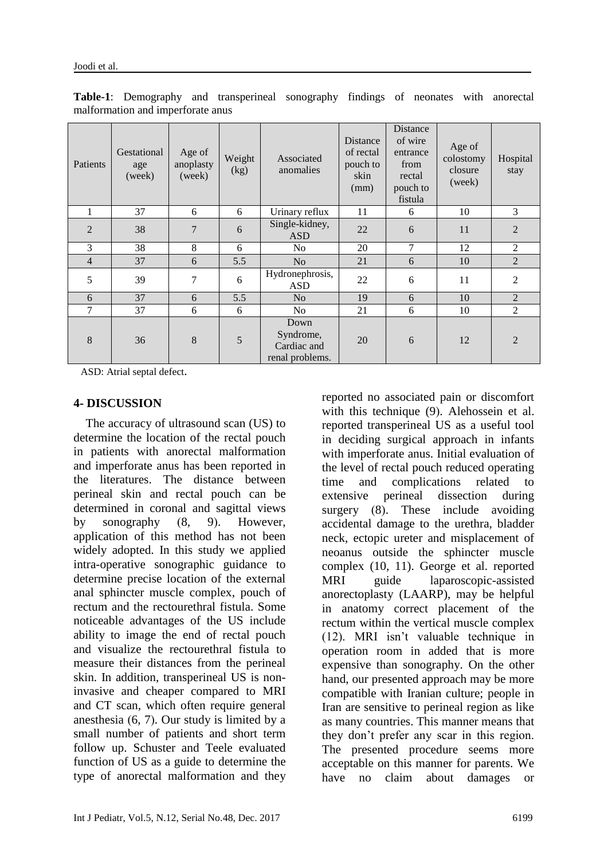| Patients       | Gestational<br>age<br>(week) | Age of<br>anoplasty<br>(week) | Weight<br>(kg) | Associated<br>anomalies                             | Distance<br>of rectal<br>pouch to<br>skin<br>(mm) | <b>Distance</b><br>of wire<br>entrance<br>from<br>rectal<br>pouch to<br>fistula | Age of<br>colostomy<br>closure<br>(week) | Hospital<br>stay |
|----------------|------------------------------|-------------------------------|----------------|-----------------------------------------------------|---------------------------------------------------|---------------------------------------------------------------------------------|------------------------------------------|------------------|
| -1             | 37                           | 6                             | 6              | Urinary reflux                                      | 11                                                | 6                                                                               | 10                                       | 3                |
| $\overline{2}$ | 38                           | 7                             | 6              | Single-kidney,<br><b>ASD</b>                        | 22                                                | 6                                                                               | 11                                       | $\overline{2}$   |
| 3              | 38                           | 8                             | 6              | No                                                  | 20                                                | 7                                                                               | 12                                       | 2                |
| $\overline{4}$ | 37                           | 6                             | 5.5            | N <sub>o</sub>                                      | 21                                                | 6                                                                               | 10                                       | $\overline{2}$   |
| 5              | 39                           | 7                             | 6              | Hydronephrosis,<br><b>ASD</b>                       | 22                                                | 6                                                                               | 11                                       | $\overline{2}$   |
| 6              | 37                           | 6                             | 5.5            | N <sub>o</sub>                                      | 19                                                | 6                                                                               | 10                                       | $\overline{2}$   |
| 7              | 37                           | 6                             | 6              | N <sub>0</sub>                                      | 21                                                | 6                                                                               | 10                                       | $\overline{2}$   |
| 8              | 36                           | 8                             | 5              | Down<br>Syndrome,<br>Cardiac and<br>renal problems. | 20                                                | 6                                                                               | 12                                       | $\overline{2}$   |

**Table-1**: Demography and transperineal sonography findings of neonates with anorectal malformation and imperforate anus

ASD: Atrial septal defect.

#### **4- DISCUSSION**

 The accuracy of ultrasound scan (US) to determine the location of the rectal pouch in patients with anorectal malformation and imperforate anus has been reported in the literatures. The distance between perineal skin and rectal pouch can be determined in coronal and sagittal views by sonography  $(8, 9)$ . However, application of this method has not been widely adopted. In this study we applied intra-operative sonographic guidance to determine precise location of the external anal sphincter muscle complex, pouch of rectum and the rectourethral fistula. Some noticeable advantages of the US include ability to image the end of rectal pouch and visualize the rectourethral fistula to measure their distances from the perineal skin. In addition, transperineal US is noninvasive and cheaper compared to MRI and CT scan, which often require general anesthesia  $(6, 7)$ . Our study is limited by a small number of patients and short term follow up. Schuster and Teele evaluated function of US as a guide to determine the type of anorectal malformation and they reported no associated pain or discomfort with this technique (9). Alehossein et al. reported transperineal US as a useful tool in deciding surgical approach in infants with imperforate anus. Initial evaluation of the level of rectal pouch reduced operating time and complications related to extensive perineal dissection during surgery  $(8)$ . These include avoiding accidental damage to the urethra, bladder neck, ectopic ureter and misplacement of neoanus outside the sphincter muscle complex (10, 11). George et al. reported MRI guide laparoscopic-assisted anorectoplasty (LAARP), may be helpful in anatomy correct placement of the rectum within the vertical muscle complex (12). MRI isn't valuable technique in operation room in added that is more expensive than sonography. On the other hand, our presented approach may be more compatible with Iranian culture; people in Iran are sensitive to perineal region as like as many countries. This manner means that they don't prefer any scar in this region. The presented procedure seems more acceptable on this manner for parents. We have no claim about damages or